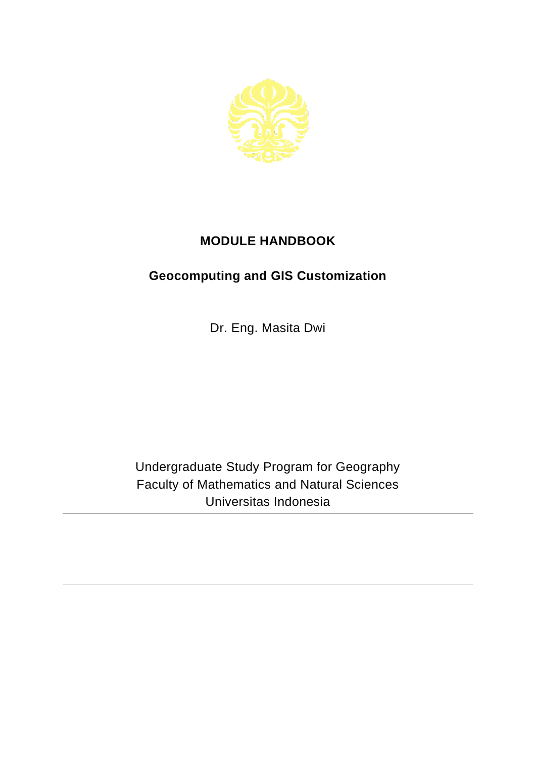

## **MODULE HANDBOOK**

## **Geocomputing and GIS Customization**

Dr. Eng. Masita Dwi

Undergraduate Study Program for Geography Faculty of Mathematics and Natural Sciences Universitas Indonesia